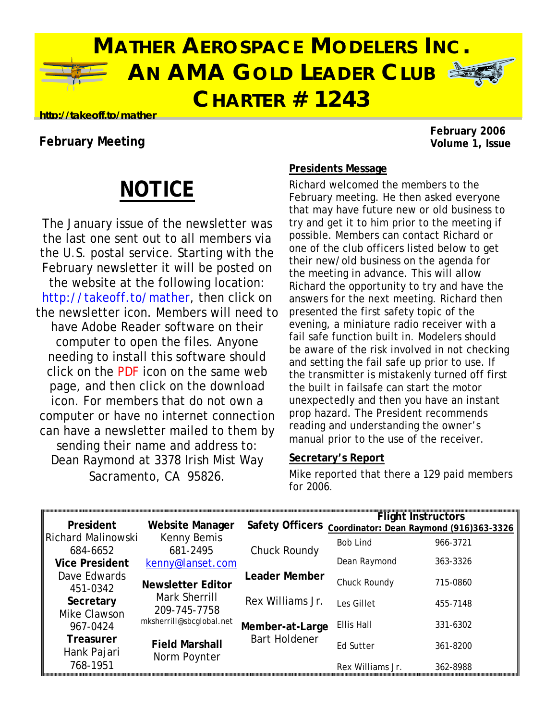

# **MATHER AEROSPACE MODELERS INC. AN AMA GOLD LEADER CLUB CHARTER # 1243**



### **http://takeoff.to/mather**

## **February Meeting**

**February 2006** 

# **NOTICE**

The January issue of the newsletter was the last one sent out to all members via the U.S. postal service. Starting with the February newsletter it will be posted on the website at the following location: [http://takeoff.to/mather,](http://takeoff.to/mather) then click on the newsletter icon. Members will need to have Adobe Reader software on their computer to open the files. Anyone needing to install this software should click on the PDF icon on the same web page, and then click on the download icon. For members that do not own a computer or have no internet connection can have a newsletter mailed to them by sending their name and address to: Dean Raymond at 3378 Irish Mist Way Sacramento, CA 95826.

### **Presidents Message**

Richard welcomed the members to the February meeting. He then asked everyone that may have future new or old business to try and get it to him prior to the meeting if possible. Members can contact Richard or one of the club officers listed below to get their new/old business on the agenda for the meeting in advance. This will allow Richard the opportunity to try and have the answers for the next meeting. Richard then presented the first safety topic of the evening, a miniature radio receiver with a fail safe function built in. Modelers should be aware of the risk involved in not checking and setting the fail safe up prior to use. If the transmitter is mistakenly turned off first the built in failsafe can start the motor unexpectedly and then you have an instant prop hazard. The President recommends reading and understanding the owner's manual prior to the use of the receiver.

### **Secretary's Report**

Mike reported that there a 129 paid members for 2006.

| President             | <b>Website Manager</b>   | <b>Safety Officers</b> | <b>Flight Instructors</b><br>Coordinator: Dean Raymond (916)363-3326 |          |
|-----------------------|--------------------------|------------------------|----------------------------------------------------------------------|----------|
| Richard Malinowski    | Kenny Bemis              |                        | <b>Bob Lind</b>                                                      | 966-3721 |
| 684-6652              | 681-2495                 | Chuck Roundy           |                                                                      |          |
| <b>Vice President</b> | kenny@lanset.com         |                        | Dean Raymond                                                         | 363-3326 |
| Dave Edwards          | <b>Newsletter Editor</b> | <b>Leader Member</b>   | Chuck Roundy                                                         | 715-0860 |
| 451-0342              | Mark Sherrill            |                        |                                                                      |          |
| Secretary             | 209-745-7758             | Rex Williams Jr.       | Les Gillet                                                           | 455-7148 |
| Mike Clawson          | mksherrill@sbcglobal.net |                        |                                                                      |          |
| 967-0424              |                          | Member-at-Large        | Ellis Hall                                                           | 331-6302 |
| <b>Treasurer</b>      | <b>Field Marshall</b>    | <b>Bart Holdener</b>   | Ed Sutter                                                            | 361-8200 |
| Hank Pajari           | Norm Poynter             |                        |                                                                      |          |
| 768-1951              |                          |                        | Rex Williams Jr.                                                     | 362-8988 |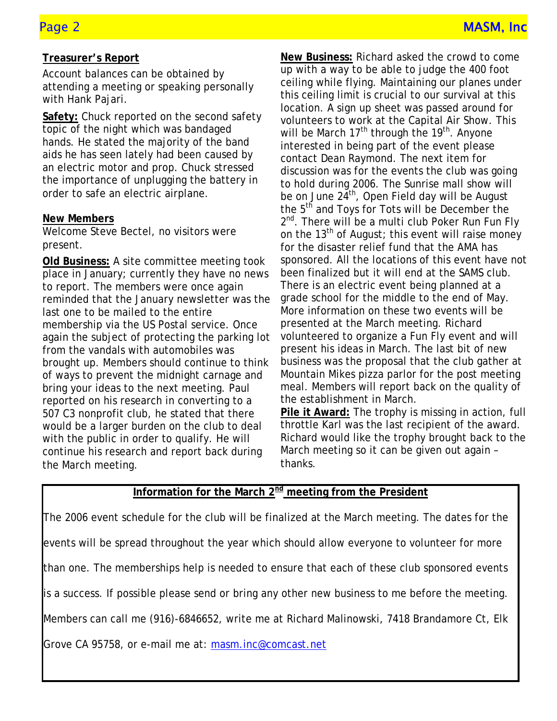### **Treasurer's Report**

Account balances can be obtained by attending a meeting or speaking personally with Hank Pajari.

**Safety:** Chuck reported on the second safety topic of the night which was bandaged hands. He stated the majority of the band aids he has seen lately had been caused by an electric motor and prop. Chuck stressed the importance of unplugging the battery in order to safe an electric airplane.

## **New Members**

Welcome Steve Bectel, no visitors were present.

**Old Business:** A site committee meeting took place in January; currently they have no news to report. The members were once again reminded that the January newsletter was the last one to be mailed to the entire membership via the US Postal service. Once again the subject of protecting the parking lot from the vandals with automobiles was brought up. Members should continue to think of ways to prevent the midnight carnage and bring your ideas to the next meeting. Paul reported on his research in converting to a 507 C3 nonprofit club, he stated that there would be a larger burden on the club to deal with the public in order to qualify. He will continue his research and report back during the March meeting.

**New Business:** Richard asked the crowd to come up with a way to be able to judge the 400 foot ceiling while flying. Maintaining our planes under this ceiling limit is crucial to our survival at this location. A sign up sheet was passed around for volunteers to work at the Capital Air Show. This will be March  $17<sup>th</sup>$  through the  $19<sup>th</sup>$ . Anyone interested in being part of the event please contact Dean Raymond. The next item for discussion was for the events the club was going to hold during 2006. The Sunrise mall show will be on June  $24^{th}$ , Open Field day will be August the 5<sup>th</sup> and Toys for Tots will be December the 2<sup>nd</sup>. There will be a multi club Poker Run Fun Fly on the  $13<sup>th</sup>$  of August; this event will raise money for the disaster relief fund that the AMA has sponsored. All the locations of this event have not been finalized but it will end at the SAMS club. There is an electric event being planned at a grade school for the middle to the end of May. More information on these two events will be presented at the March meeting. Richard volunteered to organize a Fun Fly event and will present his ideas in March. The last bit of new business was the proposal that the club gather at Mountain Mikes pizza parlor for the post meeting meal. Members will report back on the quality of the establishment in March. **Pile it Award:** The trophy is missing in action, full throttle Karl was the last recipient of the award.

Richard would like the trophy brought back to the March meeting so it can be given out again – thanks.

### Information for the March 2<sup>nd</sup> meeting from the President

The 2006 event schedule for the club will be finalized at the March meeting. The dates for the

events will be spread throughout the year which should allow everyone to volunteer for more

than one. The memberships help is needed to ensure that each of these club sponsored events

is a success. If possible please send or bring any other new business to me before the meeting.

Members can call me (916)-6846652, write me at Richard Malinowski, 7418 Brandamore Ct, Elk

Grove CA 95758, or e-mail me at: [masm.inc@comcast.net](mailto:masm.inc@comcast.net)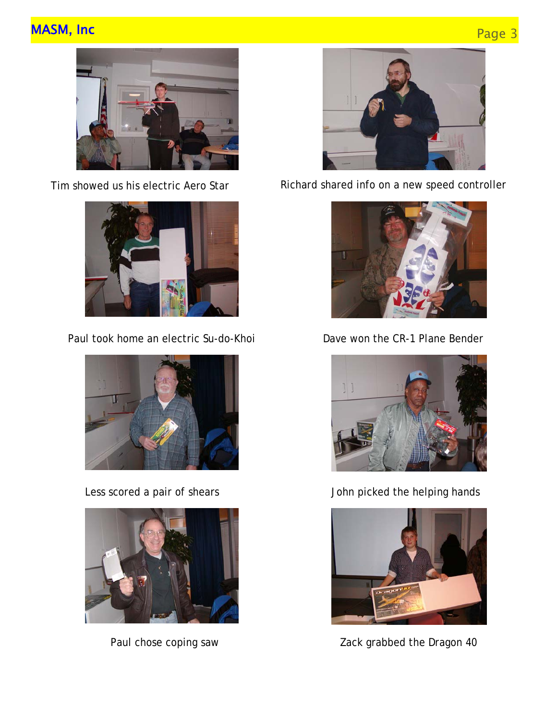# MASM, Inc Page 3







Paul took home an electric Su-do-Khoi Dave won the CR-1 Plane Bender







Tim showed us his electric Aero Star Richard shared info on a new speed controller





Less scored a pair of shears **Source 1 State 1 and 1** John picked the helping hands



Paul chose coping saw **Zack grabbed the Dragon 40**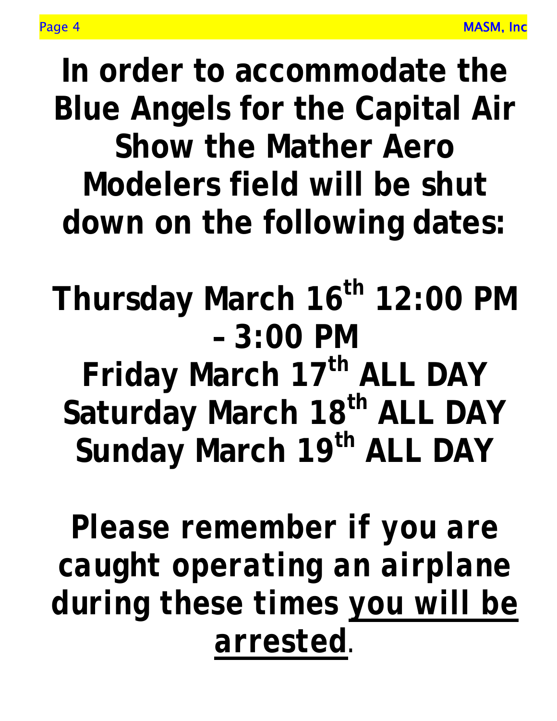**In order to accommodate the Blue Angels for the Capital Air Show the Mather Aero Modelers field will be shut down on the following dates:** 

Thursday March 16<sup>th</sup> 12:00 PM **– 3:00 PM** 

Friday March 17<sup>th</sup> ALL DAY Saturday March 18<sup>th</sup> ALL DAY Sunday March 19<sup>th</sup> ALL DAY

*Please remember if you are caught operating an airplane during these times you will be arrested.*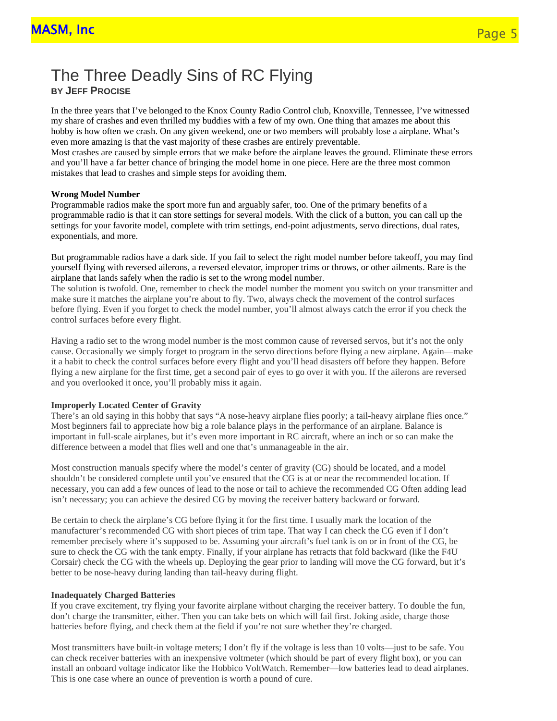## The Three Deadly Sins of RC Flying **BY JEFF PROCISE**

In the three years that I've belonged to the Knox County Radio Control club, Knoxville, Tennessee, I've witnessed my share of crashes and even thrilled my buddies with a few of my own. One thing that amazes me about this hobby is how often we crash. On any given weekend, one or two members will probably lose a airplane. What's even more amazing is that the vast majority of these crashes are entirely preventable.

Most crashes are caused by simple errors that we make before the airplane leaves the ground. Eliminate these errors and you'll have a far better chance of bringing the model home in one piece. Here are the three most common mistakes that lead to crashes and simple steps for avoiding them.

#### **Wrong Model Number**

Programmable radios make the sport more fun and arguably safer, too. One of the primary benefits of a programmable radio is that it can store settings for several models. With the click of a button, you can call up the settings for your favorite model, complete with trim settings, end-point adjustments, servo directions, dual rates, exponentials, and more.

But programmable radios have a dark side. If you fail to select the right model number before takeoff, you may find yourself flying with reversed ailerons, a reversed elevator, improper trims or throws, or other ailments. Rare is the airplane that lands safely when the radio is set to the wrong model number.

The solution is twofold. One, remember to check the model number the moment you switch on your transmitter and make sure it matches the airplane you're about to fly. Two, always check the movement of the control surfaces before flying. Even if you forget to check the model number, you'll almost always catch the error if you check the control surfaces before every flight.

Having a radio set to the wrong model number is the most common cause of reversed servos, but it's not the only cause. Occasionally we simply forget to program in the servo directions before flying a new airplane. Again—make it a habit to check the control surfaces before every flight and you'll head disasters off before they happen. Before flying a new airplane for the first time, get a second pair of eyes to go over it with you. If the ailerons are reversed and you overlooked it once, you'll probably miss it again.

### **Improperly Located Center of Gravity**

There's an old saying in this hobby that says "A nose-heavy airplane flies poorly; a tail-heavy airplane flies once." Most beginners fail to appreciate how big a role balance plays in the performance of an airplane. Balance is important in full-scale airplanes, but it's even more important in RC aircraft, where an inch or so can make the difference between a model that flies well and one that's unmanageable in the air.

Most construction manuals specify where the model's center of gravity (CG) should be located, and a model shouldn't be considered complete until you've ensured that the CG is at or near the recommended location. If necessary, you can add a few ounces of lead to the nose or tail to achieve the recommended CG Often adding lead isn't necessary; you can achieve the desired CG by moving the receiver battery backward or forward.

Be certain to check the airplane's CG before flying it for the first time. I usually mark the location of the manufacturer's recommended CG with short pieces of trim tape. That way I can check the CG even if I don't remember precisely where it's supposed to be. Assuming your aircraft's fuel tank is on or in front of the CG, be sure to check the CG with the tank empty. Finally, if your airplane has retracts that fold backward (like the F4U Corsair) check the CG with the wheels up. Deploying the gear prior to landing will move the CG forward, but it's better to be nose-heavy during landing than tail-heavy during flight.

#### **Inadequately Charged Batteries**

If you crave excitement, try flying your favorite airplane without charging the receiver battery. To double the fun, don't charge the transmitter, either. Then you can take bets on which will fail first. Joking aside, charge those batteries before flying, and check them at the field if you're not sure whether they're charged.

Most transmitters have built-in voltage meters; I don't fly if the voltage is less than 10 volts—just to be safe. You can check receiver batteries with an inexpensive voltmeter (which should be part of every flight box), or you can install an onboard voltage indicator like the Hobbico VoltWatch. Remember—low batteries lead to dead airplanes. This is one case where an ounce of prevention is worth a pound of cure.